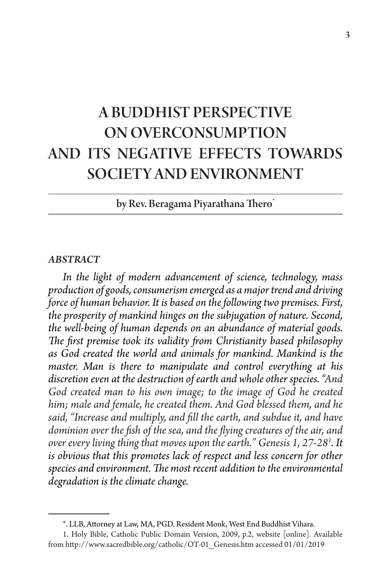# A BUDDHIST PERSPECTIVE ON OVERCONSUMPTION AND ITS NEGATIVE EFFECTS TOWARDS SOCIETY AND ENVIRONMENT

by Rev. Beragama Piyarathana Thero\*

#### *ABSTRACT*

*In the light of modern advancement of science, technology, mass production of goods, consumerism emerged as a major trend and driving force of human behavior. It is based on the following two premises. First, the prosperity of mankind hinges on the subjugation of nature. Second, the well-being of human depends on an abundance of material goods. The first premise took its validity from Christianity based philosophy as God created the world and animals for mankind. Mankind is the master. Man is there to manipulate and control everything at his discretion even at the destruction of earth and whole other species. "And God created man to his own image; to the image of God he created him; male and female, he created them. And God blessed them, and he said, "Increase and multiply, and fill the earth, and subdue it, and have dominion over the fish of the sea, and the flying creatures of the air, and over every living thing that moves upon the earth." Genesis 1, 27-281 . It is obvious that this promotes lack of respect and less concern for other species and environment. The most recent addition to the environmental degradation is the climate change.* 

<sup>\*.</sup> LLB, Attorney at Law, MA, PGD. Resident Monk, West End Buddhist Vihara.

<sup>1.</sup> Holy Bible, Catholic Public Domain Version, 2009, p.2, website [online]. Available from http://www.sacredbible.org/catholic/OT-01\_Genesis.htm accessed 01/01/2019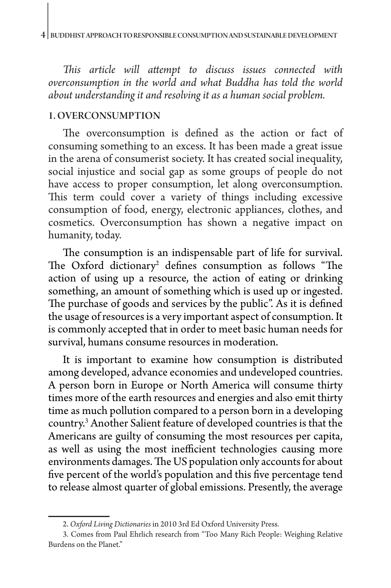*This article will attempt to discuss issues connected with overconsumption in the world and what Buddha has told the world about understanding it and resolving it as a human social problem.*

## 1. OVERCONSUMPTION

The overconsumption is defined as the action or fact of consuming something to an excess. It has been made a great issue in the arena of consumerist society. It has created social inequality, social injustice and social gap as some groups of people do not have access to proper consumption, let along overconsumption. This term could cover a variety of things including excessive consumption of food, energy, electronic appliances, clothes, and cosmetics. Overconsumption has shown a negative impact on humanity, today.

The consumption is an indispensable part of life for survival. The Oxford dictionary<sup>2</sup> defines consumption as follows "The action of using up a resource, the action of eating or drinking something, an amount of something which is used up or ingested. The purchase of goods and services by the public". As it is defined the usage of resources is a very important aspect of consumption. It is commonly accepted that in order to meet basic human needs for survival, humans consume resources in moderation.

It is important to examine how consumption is distributed among developed, advance economies and undeveloped countries. A person born in Europe or North America will consume thirty times more of the earth resources and energies and also emit thirty time as much pollution compared to a person born in a developing country.3 Another Salient feature of developed countries is that the Americans are guilty of consuming the most resources per capita, as well as using the most inefficient technologies causing more environments damages. The US population only accounts for about five percent of the world's population and this five percentage tend to release almost quarter of global emissions. Presently, the average

<sup>2.</sup> *Oxford Living Dictionaries* in 2010 3rd Ed Oxford University Press.

<sup>3.</sup> Comes from Paul Ehrlich research from "Too Many Rich People: Weighing Relative Burdens on the Planet."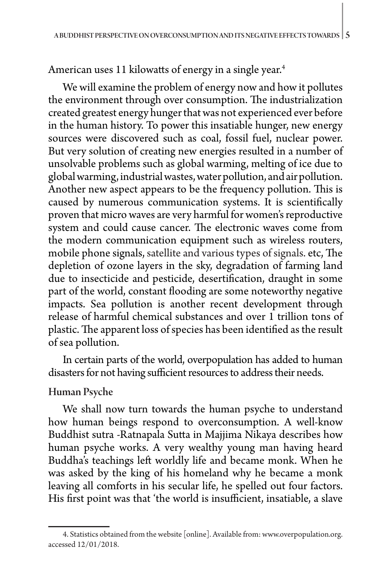American uses 11 kilowatts of energy in a single year.<sup>4</sup>

We will examine the problem of energy now and how it pollutes the environment through over consumption. The industrialization created greatest energy hunger that was not experienced ever before in the human history. To power this insatiable hunger, new energy sources were discovered such as coal, fossil fuel, nuclear power. But very solution of creating new energies resulted in a number of unsolvable problems such as global warming, melting of ice due to global warming, industrial wastes, water pollution, and air pollution. Another new aspect appears to be the frequency pollution. This is caused by numerous communication systems. It is scientifically proven that micro waves are very harmful for women's reproductive system and could cause cancer. The electronic waves come from the modern communication equipment such as wireless routers, mobile phone signals, satellite and various types of signals. etc, The depletion of ozone layers in the sky, degradation of farming land due to insecticide and pesticide, desertification, draught in some part of the world, constant flooding are some noteworthy negative impacts. Sea pollution is another recent development through release of harmful chemical substances and over 1 trillion tons of plastic. The apparent loss of species has been identified as the result of sea pollution.

In certain parts of the world, overpopulation has added to human disasters for not having sufficient resources to address their needs.

## Human Psyche

We shall now turn towards the human psyche to understand how human beings respond to overconsumption. A well-know Buddhist sutra -Ratnapala Sutta in Majjima Nikaya describes how human psyche works. A very wealthy young man having heard Buddha's teachings left worldly life and became monk. When he was asked by the king of his homeland why he became a monk leaving all comforts in his secular life, he spelled out four factors. His first point was that 'the world is insufficient, insatiable, a slave

<sup>4.</sup> Statistics obtained from the website [online]. Available from: www.overpopulation.org. accessed 12/01/2018.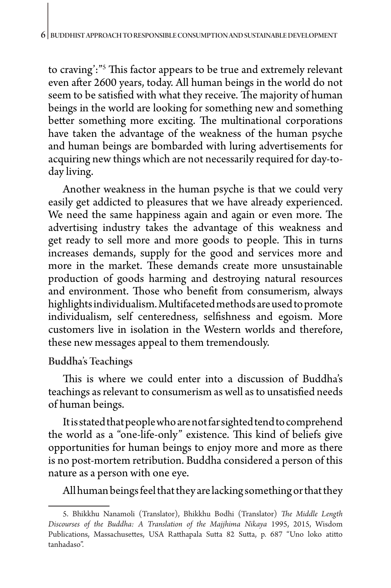to craving':"5 This factor appears to be true and extremely relevant even after 2600 years, today. All human beings in the world do not seem to be satisfied with what they receive. The majority of human beings in the world are looking for something new and something better something more exciting. The multinational corporations have taken the advantage of the weakness of the human psyche and human beings are bombarded with luring advertisements for acquiring new things which are not necessarily required for day-today living.

Another weakness in the human psyche is that we could very easily get addicted to pleasures that we have already experienced. We need the same happiness again and again or even more. The advertising industry takes the advantage of this weakness and get ready to sell more and more goods to people. This in turns increases demands, supply for the good and services more and more in the market. These demands create more unsustainable production of goods harming and destroying natural resources and environment. Those who benefit from consumerism, always highlights individualism. Multifaceted methods are used to promote individualism, self centeredness, selfishness and egoism. More customers live in isolation in the Western worlds and therefore, these new messages appeal to them tremendously.

## Buddha's Teachings

This is where we could enter into a discussion of Buddha's teachings as relevant to consumerism as well as to unsatisfied needs of human beings.

It is stated that people who are not far sighted tend to comprehend the world as a "one-life-only" existence. This kind of beliefs give opportunities for human beings to enjoy more and more as there is no post-mortem retribution. Buddha considered a person of this nature as a person with one eye.

All human beings feel that they are lacking something or that they

<sup>5.</sup> Bhikkhu Nanamoli (Translator), Bhikkhu Bodhi (Translator) *The Middle Length Discourses of the Buddha: A Translation of the Majjhima Nikaya* 1995, 2015, Wisdom Publications, Massachusettes, USA Ratthapala Sutta 82 Sutta, p. 687 "Uno loko atitto tanhadaso".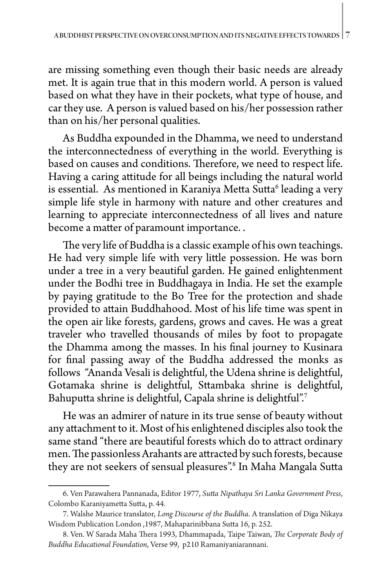are missing something even though their basic needs are already met. It is again true that in this modern world. A person is valued based on what they have in their pockets, what type of house, and car they use. A person is valued based on his/her possession rather than on his/her personal qualities.

As Buddha expounded in the Dhamma, we need to understand the interconnectedness of everything in the world. Everything is based on causes and conditions. Therefore, we need to respect life. Having a caring attitude for all beings including the natural world is essential. As mentioned in Karaniya Metta Sutta<sup>6</sup> leading a very simple life style in harmony with nature and other creatures and learning to appreciate interconnectedness of all lives and nature become a matter of paramount importance. .

The very life of Buddha is a classic example of his own teachings. He had very simple life with very little possession. He was born under a tree in a very beautiful garden. He gained enlightenment under the Bodhi tree in Buddhagaya in India. He set the example by paying gratitude to the Bo Tree for the protection and shade provided to attain Buddhahood. Most of his life time was spent in the open air like forests, gardens, grows and caves. He was a great traveler who travelled thousands of miles by foot to propagate the Dhamma among the masses. In his final journey to Kusinara for final passing away of the Buddha addressed the monks as follows "Ananda Vesali is delightful, the Udena shrine is delightful, Gotamaka shrine is delightful, Sttambaka shrine is delightful, Bahuputta shrine is delightful, Capala shrine is delightful".7

He was an admirer of nature in its true sense of beauty without any attachment to it. Most of his enlightened disciples also took the same stand "there are beautiful forests which do to attract ordinary men. The passionless Arahants are attracted by such forests, because they are not seekers of sensual pleasures".8 In Maha Mangala Sutta

<sup>6.</sup> Ven Parawahera Pannanada, Editor 1977, *Sutta Nipathaya Sri Lanka Government Press*, Colombo Karaniyametta Sutta, p. 44.

<sup>7.</sup> Walshe Maurice translator, *Long Discourse of the Buddha*. A translation of Diga Nikaya Wisdom Publication London ,1987, Mahaparinibbana Sutta 16, p. 252.

<sup>8.</sup> Ven. W Sarada Maha Thera 1993, Dhammapada, Taipe Taiwan, *The Corporate Body of Buddha Educational Foundation*, Verse 99, p210 Ramaniyaniarannani.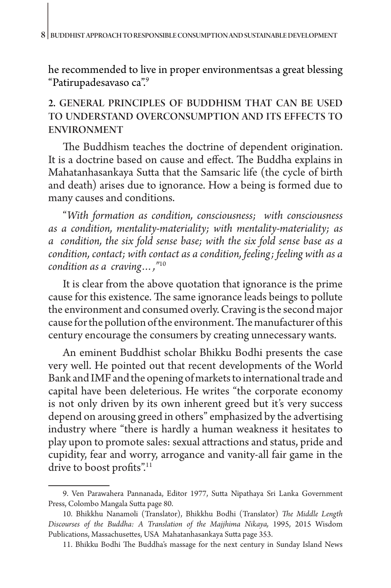he recommended to live in proper environmentsas a great blessing "Patirupadesavaso ca".9

## 2. GENERAL PRINCIPLES OF BUDDHISM THAT CAN BE USED TO UNDERSTAND OVERCONSUMPTION AND ITS EFFECTS TO ENVIRONMENT

The Buddhism teaches the doctrine of dependent origination. It is a doctrine based on cause and effect. The Buddha explains in Mahatanhasankaya Sutta that the Samsaric life (the cycle of birth and death) arises due to ignorance. How a being is formed due to many causes and conditions.

"*With formation as condition, consciousness; with consciousness as a condition, mentality-materiality; with mentality-materiality; as a condition, the six fold sense base; with the six fold sense base as a condition, contact; with contact as a condition, feeling; feeling with as a condition as a craving…,"*<sup>10</sup>

It is clear from the above quotation that ignorance is the prime cause for this existence. The same ignorance leads beings to pollute the environment and consumed overly. Craving is the second major cause for the pollution of the environment. The manufacturer of this century encourage the consumers by creating unnecessary wants.

An eminent Buddhist scholar Bhikku Bodhi presents the case very well. He pointed out that recent developments of the World Bank and IMF and the opening of markets to international trade and capital have been deleterious. He writes "the corporate economy is not only driven by its own inherent greed but it's very success depend on arousing greed in others" emphasized by the advertising industry where "there is hardly a human weakness it hesitates to play upon to promote sales: sexual attractions and status, pride and cupidity, fear and worry, arrogance and vanity-all fair game in the drive to boost profits".<sup>11</sup>

<sup>9.</sup> Ven Parawahera Pannanada, Editor 1977, Sutta Nipathaya Sri Lanka Government Press, Colombo Mangala Sutta page 80.

<sup>10.</sup> Bhikkhu Nanamoli (Translator), Bhikkhu Bodhi (Translator) *The Middle Length Discourses of the Buddha: A Translation of the Majjhima Nikaya,* 1995, 2015 Wisdom Publications, Massachusettes, USA Mahatanhasankaya Sutta page 353.

<sup>11.</sup> Bhikku Bodhi The Buddha's massage for the next century in Sunday Island News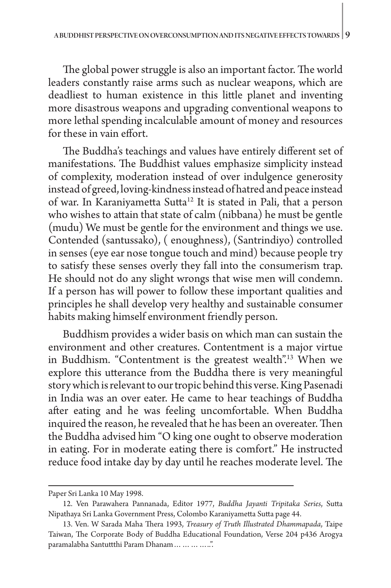The global power struggle is also an important factor. The world leaders constantly raise arms such as nuclear weapons, which are deadliest to human existence in this little planet and inventing more disastrous weapons and upgrading conventional weapons to more lethal spending incalculable amount of money and resources for these in vain effort.

The Buddha's teachings and values have entirely different set of manifestations. The Buddhist values emphasize simplicity instead of complexity, moderation instead of over indulgence generosity instead of greed, loving-kindness instead of hatred and peace instead of war. In Karaniyametta Sutta<sup>12</sup> It is stated in Pali, that a person who wishes to attain that state of calm (nibbana) he must be gentle (mudu) We must be gentle for the environment and things we use. Contended (santussako), ( enoughness), (Santrindiyo) controlled in senses (eye ear nose tongue touch and mind) because people try to satisfy these senses overly they fall into the consumerism trap. He should not do any slight wrongs that wise men will condemn. If a person has will power to follow these important qualities and principles he shall develop very healthy and sustainable consumer habits making himself environment friendly person.

Buddhism provides a wider basis on which man can sustain the environment and other creatures. Contentment is a major virtue in Buddhism. "Contentment is the greatest wealth".<sup>13</sup> When we explore this utterance from the Buddha there is very meaningful story which is relevant to our tropic behind this verse. King Pasenadi in India was an over eater. He came to hear teachings of Buddha after eating and he was feeling uncomfortable. When Buddha inquired the reason, he revealed that he has been an overeater. Then the Buddha advised him "O king one ought to observe moderation in eating. For in moderate eating there is comfort." He instructed reduce food intake day by day until he reaches moderate level. The

Paper Sri Lanka 10 May 1998.

<sup>12.</sup> Ven Parawahera Pannanada, Editor 1977, *Buddha Jayanti Tripitaka Series*, Sutta Nipathaya Sri Lanka Government Press, Colombo Karaniyametta Sutta page 44.

<sup>13.</sup> Ven. W Sarada Maha Thera 1993, *Treasury of Truth Illustrated Dhammapada*, Taipe Taiwan, The Corporate Body of Buddha Educational Foundation, Verse 204 p436 Arogya paramalabha Santuttthi Param Dhanam…………..".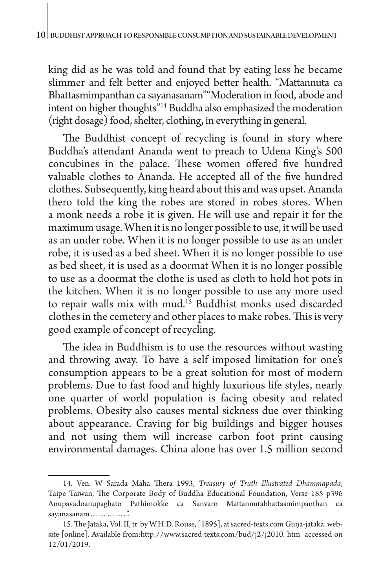king did as he was told and found that by eating less he became slimmer and felt better and enjoyed better health. "Mattannuta ca Bhattasmimpanthan ca sayanasanam""Moderation in food, abode and intent on higher thoughts"14 Buddha also emphasized the moderation (right dosage) food, shelter, clothing, in everything in general.

The Buddhist concept of recycling is found in story where Buddha's attendant Ananda went to preach to Udena King's 500 concubines in the palace. These women offered five hundred valuable clothes to Ananda. He accepted all of the five hundred clothes. Subsequently, king heard about this and was upset. Ananda thero told the king the robes are stored in robes stores. When a monk needs a robe it is given. He will use and repair it for the maximum usage. When it is no longer possible to use, it will be used as an under robe. When it is no longer possible to use as an under robe, it is used as a bed sheet. When it is no longer possible to use as bed sheet, it is used as a doormat When it is no longer possible to use as a doormat the clothe is used as cloth to hold hot pots in the kitchen. When it is no longer possible to use any more used to repair walls mix with mud.<sup>15</sup> Buddhist monks used discarded clothes in the cemetery and other places to make robes. This is very good example of concept of recycling.

The idea in Buddhism is to use the resources without wasting and throwing away. To have a self imposed limitation for one's consumption appears to be a great solution for most of modern problems. Due to fast food and highly luxurious life styles, nearly one quarter of world population is facing obesity and related problems. Obesity also causes mental sickness due over thinking about appearance. Craving for big buildings and bigger houses and not using them will increase carbon foot print causing environmental damages. China alone has over 1.5 million second

<sup>14.</sup> Ven. W Sarada Maha Thera 1993, *Treasury of Truth Illustrated Dhammapada*, Taipe Taiwan, The Corporate Body of Buddha Educational Foundation, Verse 185 p396 Anupavadoanupaghato Pathimokke ca Sanvaro Mattannutabhattasmimpanthan ca sayanasanam…………..".

<sup>15.</sup> The Jataka, Vol. II, tr. by W.H.D. Rouse, [1895], at sacred-texts.com Guṇa-jātaka. website [online]. Available from:http://www.sacred-texts.com/bud/j2/j2010. htm accessed on 12/01/2019.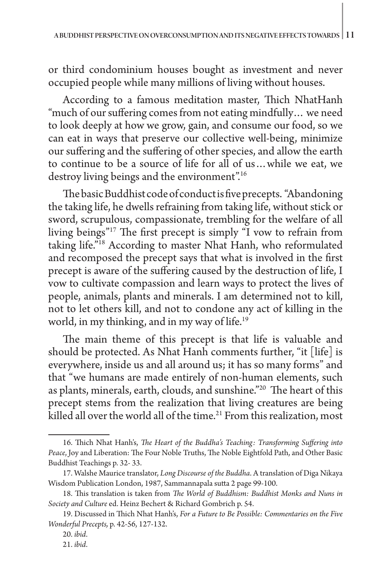or third condominium houses bought as investment and never occupied people while many millions of living without houses.

According to a famous meditation master, Thich NhatHanh "much of our suffering comes from not eating mindfully… we need to look deeply at how we grow, gain, and consume our food, so we can eat in ways that preserve our collective well-being, minimize our suffering and the suffering of other species, and allow the earth to continue to be a source of life for all of us…while we eat, we destroy living beings and the environment".<sup>16</sup>

The basic Buddhist code of conduct is five precepts. "Abandoning the taking life, he dwells refraining from taking life, without stick or sword, scrupulous, compassionate, trembling for the welfare of all living beings"17 The first precept is simply "I vow to refrain from taking life."18 According to master Nhat Hanh, who reformulated and recomposed the precept says that what is involved in the first precept is aware of the suffering caused by the destruction of life, I vow to cultivate compassion and learn ways to protect the lives of people, animals, plants and minerals. I am determined not to kill, not to let others kill, and not to condone any act of killing in the world, in my thinking, and in my way of life.<sup>19</sup>

The main theme of this precept is that life is valuable and should be protected. As Nhat Hanh comments further, "it [life] is everywhere, inside us and all around us; it has so many forms" and that "we humans are made entirely of non-human elements, such as plants, minerals, earth, clouds, and sunshine."20 The heart of this precept stems from the realization that living creatures are being killed all over the world all of the time.<sup>21</sup> From this realization, most

<sup>16.</sup> Thich Nhat Hanh's, *The Heart of the Buddha's Teaching: Transforming Suffering into Peace*, Joy and Liberation: The Four Noble Truths, The Noble Eightfold Path, and Other Basic Buddhist Teachings p. 32- 33.

<sup>17.</sup> Walshe Maurice translator, *Long Discourse of the Buddha*. A translation of Diga Nikaya Wisdom Publication London, 1987, Sammannapala sutta 2 page 99-100.

<sup>18.</sup> This translation is taken from *The World of Buddhism: Buddhist Monks and Nuns in Society and Culture* ed. Heinz Bechert & Richard Gombrich p. 54.

<sup>19.</sup> Discussed in Thich Nhat Hanh's, *For a Future to Be Possible: Commentaries on the Five Wonderful Precepts,* p. 42-56, 127-132.

<sup>20.</sup> *ibid*.

<sup>21.</sup> *ibid*.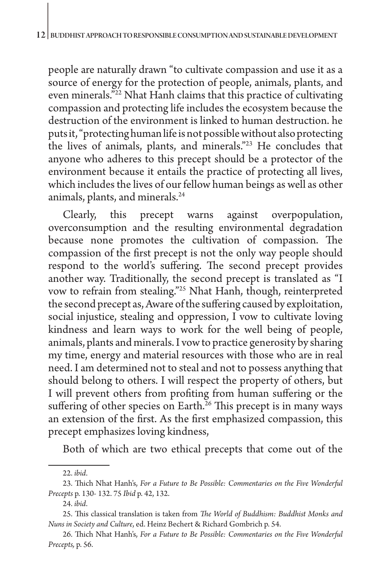people are naturally drawn "to cultivate compassion and use it as a source of energy for the protection of people, animals, plants, and even minerals."22 Nhat Hanh claims that this practice of cultivating compassion and protecting life includes the ecosystem because the destruction of the environment is linked to human destruction. he puts it, "protecting human life is not possible without also protecting the lives of animals, plants, and minerals."23 He concludes that anyone who adheres to this precept should be a protector of the environment because it entails the practice of protecting all lives, which includes the lives of our fellow human beings as well as other animals, plants, and minerals.24

Clearly, this precept warns against overpopulation, overconsumption and the resulting environmental degradation because none promotes the cultivation of compassion. The compassion of the first precept is not the only way people should respond to the world's suffering. The second precept provides another way. Traditionally, the second precept is translated as "I vow to refrain from stealing."25 Nhat Hanh, though, reinterpreted the second precept as, Aware of the suffering caused by exploitation, social injustice, stealing and oppression, I vow to cultivate loving kindness and learn ways to work for the well being of people, animals, plants and minerals. I vow to practice generosity by sharing my time, energy and material resources with those who are in real need. I am determined not to steal and not to possess anything that should belong to others. I will respect the property of others, but I will prevent others from profiting from human suffering or the suffering of other species on Earth.<sup>26</sup> This precept is in many ways an extension of the first. As the first emphasized compassion, this precept emphasizes loving kindness,

Both of which are two ethical precepts that come out of the

<sup>22.</sup> *ibid*.

<sup>23.</sup> Thich Nhat Hanh's, *For a Future to Be Possible: Commentaries on the Five Wonderful Precepts* p. 130- 132. 75 *Ibid* p. 42, 132.

<sup>24.</sup> *ibid*.

<sup>25.</sup> This classical translation is taken from *The World of Buddhism: Buddhist Monks and Nuns in Society and Culture*, ed. Heinz Bechert & Richard Gombrich p. 54.

<sup>26.</sup> Thich Nhat Hanh's, *For a Future to Be Possible: Commentaries on the Five Wonderful Precepts,* p. 56.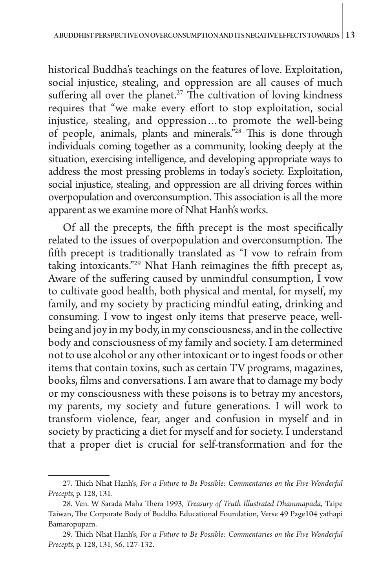historical Buddha's teachings on the features of love. Exploitation, social injustice, stealing, and oppression are all causes of much suffering all over the planet.<sup>27</sup> The cultivation of loving kindness requires that "we make every effort to stop exploitation, social injustice, stealing, and oppression…to promote the well-being of people, animals, plants and minerals."28 This is done through individuals coming together as a community, looking deeply at the situation, exercising intelligence, and developing appropriate ways to address the most pressing problems in today's society. Exploitation, social injustice, stealing, and oppression are all driving forces within overpopulation and overconsumption. This association is all the more apparent as we examine more of Nhat Hanh's works.

Of all the precepts, the fifth precept is the most specifically related to the issues of overpopulation and overconsumption. The fifth precept is traditionally translated as "I vow to refrain from taking intoxicants."29 Nhat Hanh reimagines the fifth precept as, Aware of the suffering caused by unmindful consumption, I vow to cultivate good health, both physical and mental, for myself, my family, and my society by practicing mindful eating, drinking and consuming. I vow to ingest only items that preserve peace, wellbeing and joy in my body, in my consciousness, and in the collective body and consciousness of my family and society. I am determined not to use alcohol or any other intoxicant or to ingest foods or other items that contain toxins, such as certain TV programs, magazines, books, films and conversations. I am aware that to damage my body or my consciousness with these poisons is to betray my ancestors, my parents, my society and future generations. I will work to transform violence, fear, anger and confusion in myself and in society by practicing a diet for myself and for society. I understand that a proper diet is crucial for self-transformation and for the

<sup>27.</sup> Thich Nhat Hanh's, *For a Future to Be Possible: Commentaries on the Five Wonderful Precepts,* p. 128, 131.

<sup>28.</sup> Ven. W Sarada Maha Thera 1993, *Treasury of Truth Illustrated Dhammapada*, Taipe Taiwan, The Corporate Body of Buddha Educational Foundation, Verse 49 Page104 yathapi Bamaropupam.

<sup>29.</sup> Thich Nhat Hanh's, *For a Future to Be Possible: Commentaries on the Five Wonderful Precepts,* p. 128, 131, 56, 127-132.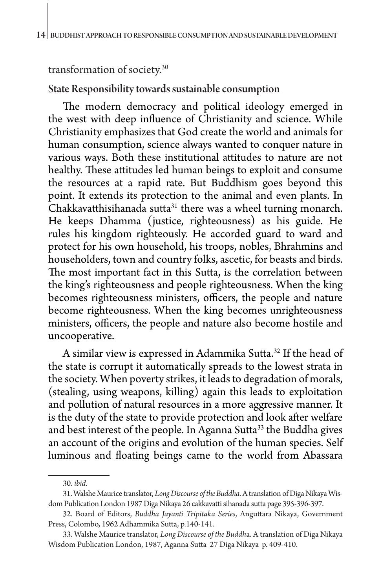#### transformation of society.30

#### State Responsibility towards sustainable consumption

The modern democracy and political ideology emerged in the west with deep influence of Christianity and science. While Christianity emphasizes that God create the world and animals for human consumption, science always wanted to conquer nature in various ways. Both these institutional attitudes to nature are not healthy. These attitudes led human beings to exploit and consume the resources at a rapid rate. But Buddhism goes beyond this point. It extends its protection to the animal and even plants. In  $Chakkavat thisihanada sutta<sup>31</sup> there was a wheel turning monarch.$ He keeps Dhamma (justice, righteousness) as his guide. He rules his kingdom righteously. He accorded guard to ward and protect for his own household, his troops, nobles, Bhrahmins and householders, town and country folks, ascetic, for beasts and birds. The most important fact in this Sutta, is the correlation between the king's righteousness and people righteousness. When the king becomes righteousness ministers, officers, the people and nature become righteousness. When the king becomes unrighteousness ministers, officers, the people and nature also become hostile and uncooperative.

A similar view is expressed in Adammika Sutta.<sup>32</sup> If the head of the state is corrupt it automatically spreads to the lowest strata in the society. When poverty strikes, it leads to degradation of morals, (stealing, using weapons, killing) again this leads to exploitation and pollution of natural resources in a more aggressive manner. It is the duty of the state to provide protection and look after welfare and best interest of the people. In Aganna Sutta<sup>33</sup> the Buddha gives an account of the origins and evolution of the human species. Self luminous and floating beings came to the world from Abassara

<sup>30.</sup> *ibid.*

<sup>31.</sup> Walshe Maurice translator, *Long Discourse of the Buddha*. A translation of Diga Nikaya Wisdom Publication London 1987 Diga Nikaya 26 cakkavatti sihanada sutta page 395-396-397.

<sup>32.</sup> Board of Editors, *Buddha Jayanti Tripitaka Series*, Anguttara Nikaya, Government Press, Colombo, 1962 Adhammika Sutta, p.140-141.

<sup>33.</sup> Walshe Maurice translator, *Long Discourse of the Buddh*a. A translation of Diga Nikaya Wisdom Publication London, 1987, Aganna Sutta 27 Diga Nikaya p. 409-410.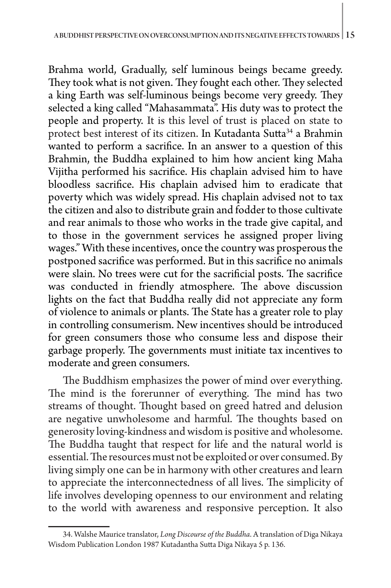Brahma world, Gradually, self luminous beings became greedy. They took what is not given. They fought each other. They selected a king Earth was self-luminous beings become very greedy. They selected a king called "Mahasammata". His duty was to protect the people and property. It is this level of trust is placed on state to protect best interest of its citizen. In Kutadanta Sutta34 a Brahmin wanted to perform a sacrifice. In an answer to a question of this Brahmin, the Buddha explained to him how ancient king Maha Vijitha performed his sacrifice. His chaplain advised him to have bloodless sacrifice. His chaplain advised him to eradicate that poverty which was widely spread. His chaplain advised not to tax the citizen and also to distribute grain and fodder to those cultivate and rear animals to those who works in the trade give capital, and to those in the government services he assigned proper living wages." With these incentives, once the country was prosperous the postponed sacrifice was performed. But in this sacrifice no animals were slain. No trees were cut for the sacrificial posts. The sacrifice was conducted in friendly atmosphere. The above discussion lights on the fact that Buddha really did not appreciate any form of violence to animals or plants. The State has a greater role to play in controlling consumerism. New incentives should be introduced for green consumers those who consume less and dispose their garbage properly. The governments must initiate tax incentives to moderate and green consumers.

The Buddhism emphasizes the power of mind over everything. The mind is the forerunner of everything. The mind has two streams of thought. Thought based on greed hatred and delusion are negative unwholesome and harmful. The thoughts based on generosity loving-kindness and wisdom is positive and wholesome. The Buddha taught that respect for life and the natural world is essential. The resources must not be exploited or over consumed. By living simply one can be in harmony with other creatures and learn to appreciate the interconnectedness of all lives. The simplicity of life involves developing openness to our environment and relating to the world with awareness and responsive perception. It also

<sup>34.</sup> Walshe Maurice translator, *Long Discourse of the Buddha*. A translation of Diga Nikaya Wisdom Publication London 1987 Kutadantha Sutta Diga Nikaya 5 p. 136.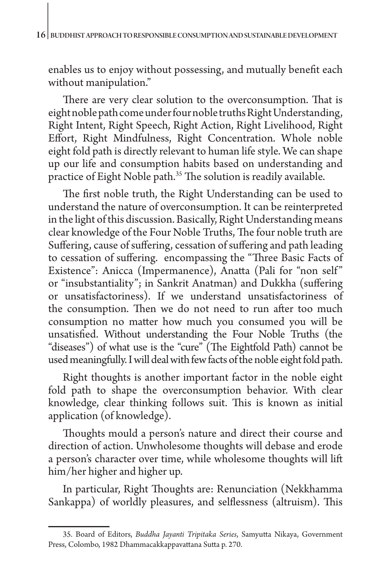enables us to enjoy without possessing, and mutually benefit each without manipulation."

There are very clear solution to the overconsumption. That is eight noble path come under four noble truths Right Understanding, Right Intent, Right Speech, Right Action, Right Livelihood, Right Effort, Right Mindfulness, Right Concentration. Whole noble eight fold path is directly relevant to human life style. We can shape up our life and consumption habits based on understanding and practice of Eight Noble path.<sup>35</sup> The solution is readily available.

The first noble truth, the Right Understanding can be used to understand the nature of overconsumption. It can be reinterpreted in the light of this discussion. Basically, Right Understanding means clear knowledge of the Four Noble Truths, The four noble truth are Suffering, cause of suffering, cessation of suffering and path leading to cessation of suffering. encompassing the "Three Basic Facts of Existence": Anicca (Impermanence), Anatta (Pali for "non self" or "insubstantiality"; in Sankrit Anatman) and Dukkha (suffering or unsatisfactoriness). If we understand unsatisfactoriness of the consumption. Then we do not need to run after too much consumption no matter how much you consumed you will be unsatisfied. Without understanding the Four Noble Truths (the "diseases") of what use is the "cure" (The Eightfold Path) cannot be used meaningfully. I will deal with few facts of the noble eight fold path.

Right thoughts is another important factor in the noble eight fold path to shape the overconsumption behavior. With clear knowledge, clear thinking follows suit. This is known as initial application (of knowledge).

Thoughts mould a person's nature and direct their course and direction of action. Unwholesome thoughts will debase and erode a person's character over time, while wholesome thoughts will lift him/her higher and higher up.

In particular, Right Thoughts are: Renunciation (Nekkhamma Sankappa) of worldly pleasures, and selflessness (altruism). This

<sup>35.</sup> Board of Editors, *Buddha Jayanti Tripitaka Series*, Samyutta Nikaya, Government Press, Colombo, 1982 Dhammacakkappavattana Sutta p. 270.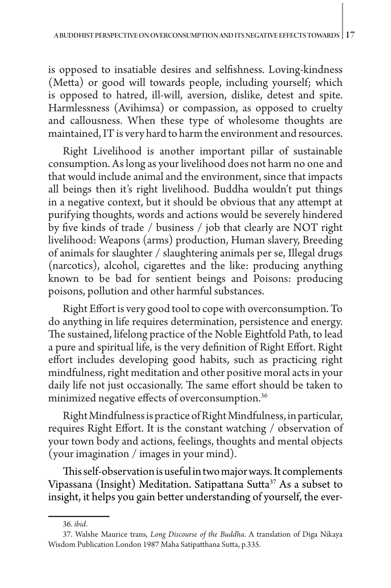is opposed to insatiable desires and selfishness. Loving-kindness (Metta) or good will towards people, including yourself; which is opposed to hatred, ill-will, aversion, dislike, detest and spite. Harmlessness (Avihimsa) or compassion, as opposed to cruelty and callousness. When these type of wholesome thoughts are maintained, IT is very hard to harm the environment and resources.

Right Livelihood is another important pillar of sustainable consumption. As long as your livelihood does not harm no one and that would include animal and the environment, since that impacts all beings then it's right livelihood. Buddha wouldn't put things in a negative context, but it should be obvious that any attempt at purifying thoughts, words and actions would be severely hindered by five kinds of trade / business / job that clearly are NOT right livelihood: Weapons (arms) production, Human slavery, Breeding of animals for slaughter / slaughtering animals per se, Illegal drugs (narcotics), alcohol, cigarettes and the like: producing anything known to be bad for sentient beings and Poisons: producing poisons, pollution and other harmful substances.

Right Effort is very good tool to cope with overconsumption. To do anything in life requires determination, persistence and energy. The sustained, lifelong practice of the Noble Eightfold Path, to lead a pure and spiritual life, is the very definition of Right Effort. Right effort includes developing good habits, such as practicing right mindfulness, right meditation and other positive moral acts in your daily life not just occasionally. The same effort should be taken to minimized negative effects of overconsumption.<sup>36</sup>

Right Mindfulness is practice of Right Mindfulness, in particular, requires Right Effort. It is the constant watching / observation of your town body and actions, feelings, thoughts and mental objects (your imagination / images in your mind).

This self-observation is useful in two major ways. It complements Vipassana (Insight) Meditation. Satipattana Sutta<sup>37</sup> As a subset to insight, it helps you gain better understanding of yourself, the ever-

<sup>36.</sup> *ibid*.

<sup>37.</sup> Walshe Maurice trans, *Long Discourse of the Buddha*. A translation of Diga Nikaya Wisdom Publication London 1987 Maha Satipatthana Sutta, p.335.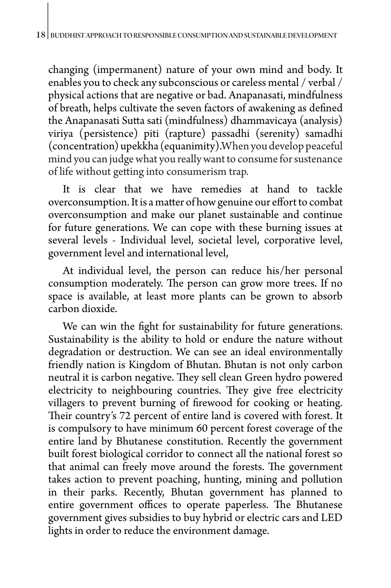changing (impermanent) nature of your own mind and body. It enables you to check any subconscious or careless mental / verbal / physical actions that are negative or bad. Anapanasati, mindfulness of breath, helps cultivate the seven factors of awakening as defined the Anapanasati Sutta sati (mindfulness) dhammavicaya (analysis) viriya (persistence) piti (rapture) passadhi (serenity) samadhi (concentration) upekkha (equanimity).When you develop peaceful mind you can judge what you really want to consume for sustenance of life without getting into consumerism trap.

It is clear that we have remedies at hand to tackle overconsumption. It is a matter of how genuine our effort to combat overconsumption and make our planet sustainable and continue for future generations. We can cope with these burning issues at several levels - Individual level, societal level, corporative level, government level and international level,

At individual level, the person can reduce his/her personal consumption moderately. The person can grow more trees. If no space is available, at least more plants can be grown to absorb carbon dioxide.

We can win the fight for sustainability for future generations. Sustainability is the ability to hold or endure the nature without degradation or destruction. We can see an ideal environmentally friendly nation is Kingdom of Bhutan. Bhutan is not only carbon neutral it is carbon negative. They sell clean Green hydro powered electricity to neighbouring countries. They give free electricity villagers to prevent burning of firewood for cooking or heating. Their country's 72 percent of entire land is covered with forest. It is compulsory to have minimum 60 percent forest coverage of the entire land by Bhutanese constitution. Recently the government built forest biological corridor to connect all the national forest so that animal can freely move around the forests. The government takes action to prevent poaching, hunting, mining and pollution in their parks. Recently, Bhutan government has planned to entire government offices to operate paperless. The Bhutanese government gives subsidies to buy hybrid or electric cars and LED lights in order to reduce the environment damage.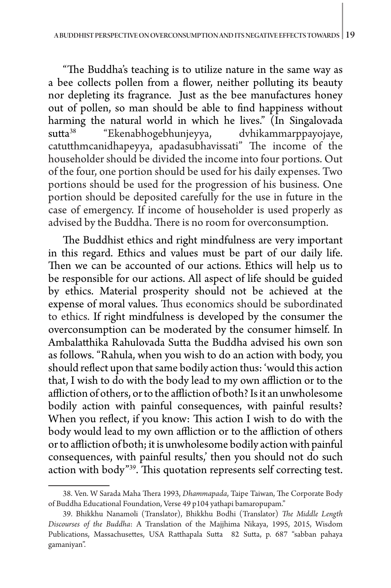"The Buddha's teaching is to utilize nature in the same way as a bee collects pollen from a flower, neither polluting its beauty nor depleting its fragrance. Just as the bee manufactures honey out of pollen, so man should be able to find happiness without harming the natural world in which he lives." (In Singalovada sutta<sup>38</sup> "Ekenabhogebhunjeyya, dvhikammarppayojaye, catutthmcanidhapeyya, apadasubhavissati" The income of the householder should be divided the income into four portions. Out of the four, one portion should be used for his daily expenses. Two portions should be used for the progression of his business. One portion should be deposited carefully for the use in future in the case of emergency. If income of householder is used properly as advised by the Buddha. There is no room for overconsumption.

The Buddhist ethics and right mindfulness are very important in this regard. Ethics and values must be part of our daily life. Then we can be accounted of our actions. Ethics will help us to be responsible for our actions. All aspect of life should be guided by ethics. Material prosperity should not be achieved at the expense of moral values. Thus economics should be subordinated to ethics. If right mindfulness is developed by the consumer the overconsumption can be moderated by the consumer himself. In Ambalatthika Rahulovada Sutta the Buddha advised his own son as follows. "Rahula, when you wish to do an action with body, you should reflect upon that same bodily action thus: 'would this action that, I wish to do with the body lead to my own affliction or to the affliction of others, or to the affliction of both? Is it an unwholesome bodily action with painful consequences, with painful results? When you reflect, if you know: This action I wish to do with the body would lead to my own affliction or to the affliction of others or to affliction of both; it is unwholesome bodily action with painful consequences, with painful results,' then you should not do such action with body"39. This quotation represents self correcting test.

<sup>38.</sup> Ven. W Sarada Maha Thera 1993, *Dhammapada*, Taipe Taiwan, The Corporate Body of Buddha Educational Foundation, Verse 49 p104 yathapi bamaropupam."

<sup>39.</sup> Bhikkhu Nanamoli (Translator), Bhikkhu Bodhi (Translator) *The Middle Length Discourses of the Buddha*: A Translation of the Majjhima Nikaya, 1995, 2015, Wisdom Publications, Massachusettes, USA Ratthapala Sutta 82 Sutta, p. 687 "sabban pahaya gamaniyan".